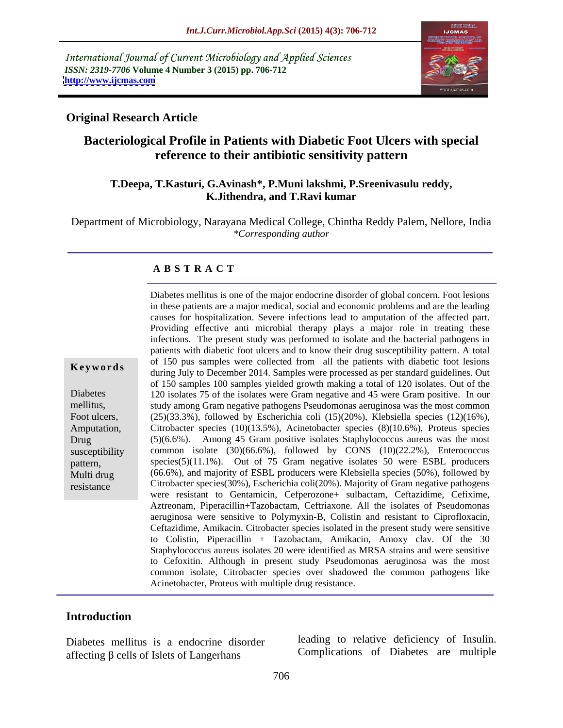International Journal of Current Microbiology and Applied Sciences *ISSN: 2319-7706* **Volume 4 Number 3 (2015) pp. 706-712 <http://www.ijcmas.com>**



## **Original Research Article**

# **Bacteriological Profile in Patients with Diabetic Foot Ulcers with special reference to their antibiotic sensitivity pattern**

#### **T.Deepa, T.Kasturi, G.Avinash\*, P.Muni lakshmi, P.Sreenivasulu reddy, K.Jithendra, and T.Ravi kumar**

Department of Microbiology, Narayana Medical College, Chintha Reddy Palem, Nellore, India *\*Corresponding author*

#### **A B S T R A C T**

resistance

in these patients are a major medical, social and economic problems and are the leading causes for hospitalization. Severe infections lead to amputation of the affected part. Providing effective anti microbial therapy plays a major role in treating these infections. The present study was performed to isolate and the bacterial pathogens in patients with diabetic foot ulcers and to know their drug susceptibility pattern. A total of 150 pus samples were collected from all the patients with diabetic foot lesions during July to December 2014. Samples were processed as per standard guidelines. Out of 150 samples 100 samples yielded growth making a total of 120 isolates. Out of the 120 isolates 75 of the isolates were Gram negative and 45 were Gram positive. In our Diabetes study among Gram negative pathogens Pseudomonas aeruginosa was the most common mellitus, Foot ulcers, (25)(33.3%), followed by Escherichia coli (15)(20%), Klebsiella species (12)(16%), Citrobacter species (10)(13.5%), Acinetobacter species (8)(10.6%), Proteus species Amputation, (5)(6.6%). Among 45 Gram positive isolates Staphylococcus aureus was the most Drug susceptibility common isolate (30)(66.6%), followed by CONS (10)(22.2%), Enterococcus species(5)(11.1%). Out of 75 Gram negative isolates 50 were ESBL producers pattern, Multi drug (66.6%), and majority of ESBL producers were Klebsiella species (50%), followed by Citrobacter species(30%), Escherichia coli(20%). Majority of Gram negative pathogens were resistant to Gentamicin, Cefperozone+ sulbactam, Ceftazidime, Cefixime, Aztreonam, Piperacillin+Tazobactam, Ceftriaxone. All the isolates of Pseudomonas aeruginosa were sensitive to Polymyxin-B, Colistin and resistant to Ciprofloxacin, Ceftazidime, Amikacin. Citrobacter species isolated in the present study were sensitive to Colistin, Piperacillin + Tazobactam, Amikacin, Amoxy clav. Of the 30 Staphylococcus aureus isolates 20 were identified as MRSA strains and were sensitive to Cefoxitin. Although in present study Pseudomonas aeruginosa was the most common isolate, Citrobacter species over shadowed the common pathogens like **Exprormals**<br>
Actrice Particle Concern to the particle and of 120 isolates. Out<br>
Diabetes<br>
(ating huly to December 2014, Samples were processed as per standard guidelines. Out<br>
The Diabetes<br>
(25) isolaters 75 of the isolat

Diabetes mellitus is one of the major endocrine disorder of global concern. Foot lesions

## **Introduction**

Diabetes mellitus is a endocrine disorder affecting  $\beta$  cells of Islets of Langerhans

leading to relative deficiency of Insulin. Complications of Diabetes are multiple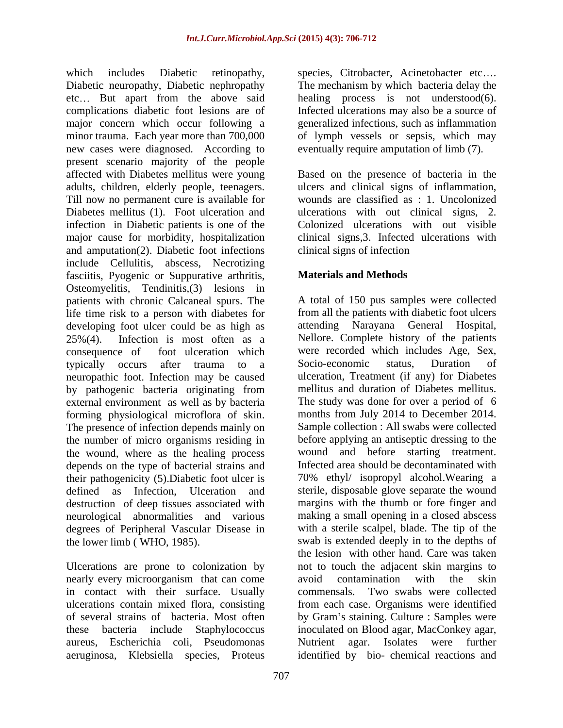which includes Diabetic retinopathy, species, Citrobacter, Acinetobacter etc.... Diabetic neuropathy, Diabetic nephropathy etc... But apart from the above said healing process is not understood(6). complications diabetic foot lesions are of Infected ulcerations may also be a source of major concern which occur following a minor trauma. Each year more than 700,000 of lymph vessels or sepsis, which may new cases were diagnosed. According to present scenario majority of the people affected with Diabetes mellitus were young Based on the presence of bacteria in the adults, children, elderly people, teenagers. ulcers and clinical signs of inflammation, Till now no permanent cure is available for wounds are classified as : 1. Uncolonized Diabetes mellitus (1). Foot ulceration and ulcerations with out clinical signs, 2. infection in Diabetic patients is one of the Colonized ulcerations with out visible major cause for morbidity, hospitalization and amputation(2). Diabetic foot infections include Cellulitis, abscess, Necrotizing fasciitis, Pyogenic or Suppurative arthritis, Osteomyelitis, Tendinitis,(3) lesions in patients with chronic Calcaneal spurs. The life time risk to a person with diabetes for developing foot ulcer could be as high as neuropathic foot. Infection may be caused external environment as well as by bacteria forming physiological microflora of skin. The presence of infection depends mainly on the number of micro organisms residing in the wound, where as the healing process depends on the type of bacterial strains and their pathogenicity (5).Diabetic foot ulcer is destruction of deep tissues associated with degrees of Peripheral Vascular Disease in

nearly every microorganism that can come avoid contamination with the skin in contact with their surface. Usually commensals. Two swabs were collected aureus, Escherichia coli, Pseudomonas aeruginosa, Klebsiella species, Proteus

The mechanism by which bacteria delay the generalized infections, such as inflammation eventually require amputation of limb (7).

clinical signs,3. Infected ulcerations with clinical signs of infection

# **Materials and Methods**

25%(4). Infection is most often as a Nellore. Complete history of the patients consequence of foot ulceration which were recorded which includes Age, Sex, typically occurs after trauma to a Socio-economic status, Duration of by pathogenic bacteria originating from mellitus and duration of Diabetes mellitus. defined as Infection, Ulceration and sterile, disposable glove separate the wound neurological abnormalities and various making a small opening in a closed abscess the lower limb ( WHO, 1985). swab is extended deeply in to the depths of Ulcerations are prone to colonization by not to touch the adjacent skin margins to ulcerations contain mixed flora, consisting from each case. Organisms were identified of several strains of bacteria. Most often by Gram's staining. Culture : Samples were these bacteria include Staphylococcus inoculated on Blood agar, MacConkey agar, A total of 150 pus samples were collected from all the patients with diabetic foot ulcers attending Narayana General Hospital, Socio-economic status, Duration of ulceration, Treatment (if any) for Diabetes mellitus and duration of Diabetes mellitus. The study was done for over a period of 6 months from July 2014 to December 2014. Sample collection : All swabs were collected before applying an antiseptic dressing to the wound and before starting treatment. Infected area should be decontaminated with 70% ethyl/ isopropyl alcohol.Wearing a margins with the thumb or fore finger and with a sterile scalpel, blade. The tip of the the lesion with other hand. Care was taken avoid contamination with the skin commensals. Two swabs were collected Nutrient agar. Isolates were further identified by bio- chemical reactions and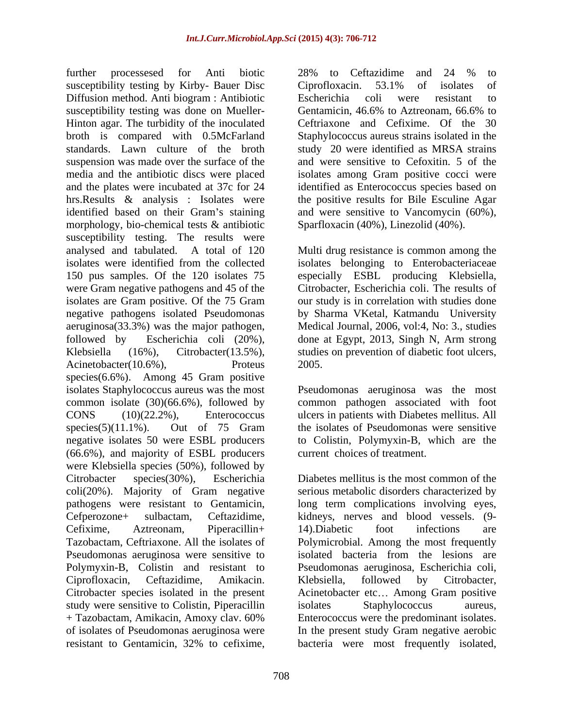further processesed for Anti biotic susceptibility testing by Kirby- Bauer Disc Ciprofloxacin. 53.1% of isolates of Diffusion method. Anti biogram : Antibiotic susceptibility testing was done on Mueller-<br>Gentamicin, 46.6% to Aztreonam, 66.6% to Hinton agar. The turbidity of the inoculated broth is compared with 0.5McFarland Staphylococcus aureus strains isolated in the standards. Lawn culture of the broth study 20 were identified as MRSA strains suspension was made over the surface of the and were sensitive to Cefoxitin. 5 of the media and the antibiotic discs were placed isolates among Gram positive cocci were and the plates were incubated at 37c for 24 identified as Enterococcus species based on hrs.Results & analysis : Isolates were identified based on their Gram's staining morphology, bio-chemical tests & antibiotic susceptibility testing. The results were analysed and tabulated. A total of 120 Multi drug resistance is common among the isolates were identified from the collected isolates belonging to Enterobacteriaceae 150 pus samples. Of the 120 isolates 75 especially ESBL producing Klebsiella, were Gram negative pathogens and 45 of the isolates are Gram positive. Of the 75 Gram negative pathogens isolated Pseudomonas by Sharma VKetal, Katmandu University aeruginosa(33.3%) was the major pathogen, Medical Journal, 2006, vol:4, No: 3., studies followed by Escherichia coli (20%), done at Egypt, 2013, Singh N, Arm strong Klebsiella (16%), Citrobacter(13.5%), studies on prevention of diabetic foot ulcers, Acinetobacter(10.6%), Proteus 2005. species(6.6%). Among 45 Gram positive isolates Staphylococcus aureus was the most common isolate (30)(66.6%), followed by common pathogen associated with foot CONS (10)(22.2%), Enterococcus ulcers in patients with Diabetes mellitus. All species(5)(11.1%). Out of 75 Gram the isolates of Pseudomonas were sensitive negative isolates 50 were ESBL producers to Colistin, Polymyxin-B, which are the (66.6%), and majority of ESBL producers were Klebsiella species (50%), followed by Citrobacter species (30%), Escherichia Diabetes mellitus is the most common of the coli(20%). Majority of Gram negative serious metabolic disorders characterized by pathogens were resistant to Gentamicin, long term complications involving eyes, Cefperozone+ sulbactam, Ceftazidime, kidneys, nerves and blood vessels. (9- Cefixime, Aztreonam, Piperacillin+ Tazobactam, Ceftriaxone. All the isolates of Polymicrobial. Among the most frequently Pseudomonas aeruginosa were sensitive to isolated bacteria from the lesions are Polymyxin-B, Colistin and resistant to Pseudomonas aeruginosa, Escherichia coli, Ciprofloxacin, Ceftazidime, Amikacin. Citrobacter species isolated in the present Acinetobacter etc... Among Gram positive study were sensitive to Colistin, Piperacillin isolates Staphylococcus aureus, + Tazobactam, Amikacin, Amoxy clav. 60% of isolates of Pseudomonas aeruginosa were In the present study Gram negative aerobic

28% to Ceftazidime and 24 % to Ciprofloxacin. 53.1% of isolates of Escherichia coli were resistant to Gentamicin, 46.6% to Aztreonam, 66.6% to Ceftriaxone and Cefixime. Of the 30 the positive results for Bile Esculine Agar and were sensitive to Vancomycin (60%), Sparfloxacin (40%), Linezolid (40%).

Citrobacter, Escherichia coli. The results of our study is in correlation with studies done 2005.

Pseudomonas aeruginosa was the most the isolates of Pseudomonas were sensitive current choices of treatment.

resistant to Gentamicin, 32% to cefixime, 14).Diabetic foot infections are Klebsiella, followed by Citrobacter, isolates Staphylococcus aureus, Enterococcus were the predominant isolates. bacteria were most frequently isolated,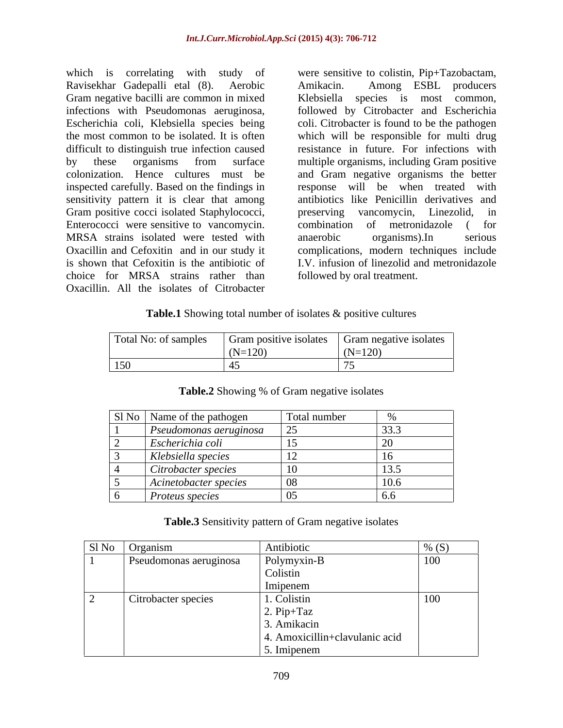which is correlating with study of were sensitive to colistin, Pip+Tazobactam, Ravisekhar Gadepalli etal (8). Aerobic Gram negative bacilli are common in mixed infections with Pseudomonas aeruginosa, followed by Citrobacter and Escherichia Escherichia coli, Klebsiella species being coli. Citrobacter is found to be the pathogen the most common to be isolated. It is often which will be responsible for multi drug difficult to distinguish true infection caused resistance in future. For infections with by these organisms from surface multiple organisms, including Gram positive colonization. Hence cultures must be and Gram negative organisms the better inspected carefully. Based on the findings in response will be when treated with sensitivity pattern it is clear that among antibiotics like Penicillin derivatives and Gram positive cocci isolated Staphylococci, preserving vancomycin, Linezolid, in Enterococci were sensitive to vancomycin. combination of metronidazole (for MRSA strains isolated were tested with anaerobic organisms). In serious Oxacillin and Cefoxitin and in our study it complications, modern techniques include is shown that Cefoxitin is the antibiotic of I.V. infusion of linezolid and metronidazole choice for MRSA strains rather than followed by oral treatment. Oxacillin. All the isolates of Citrobacter

Amikacin. Among ESBL producers Klebsiella species is most common, preserving vancomycin, Linezolid, in combination of metronidazole ( for anaerobic organisms).In serious followed by oral treatment.

### **Table.1** Showing total number of isolates & positive cultures

| Total No: of samples | Gram positive isolates | Gram negative isolates |
|----------------------|------------------------|------------------------|
|                      | $(N=120)$              | $(N=120)$              |
| 150                  |                        |                        |

| Sl No Name of the pathogen             | Total number |                             |
|----------------------------------------|--------------|-----------------------------|
| $\mid$ Pseudomonas aeruginosa $\mid$ 2 | 25           | 33.3                        |
| <i>Escherichia coli</i>                |              |                             |
| Klebsiella species                     |              |                             |
| Citrobacter species                    |              |                             |
| Acinetobacter species                  |              | $\left 10\right $<br>L 1V.O |
| <i>Proteus species</i>                 |              |                             |

## **Table.2** Showing % of Gram negative isolates

#### **Table.3** Sensitivity pattern of Gram negative isolates

|                          | SI No Organism                | Antibiotic                          | $\%$ (S) |
|--------------------------|-------------------------------|-------------------------------------|----------|
|                          | <b>Pseudomonas aeruginosa</b> | Polymyxin-B                         | 100      |
|                          |                               | Colistin<br>Imipenem                |          |
| $\overline{\phantom{0}}$ | Citrobacter species           | 1. Colistin                         | 100      |
|                          |                               | $\sqrt{2}$ . Pip+Taz<br>3. Amikacin |          |
|                          |                               | 4. Amoxicillin+clavulanic acid      |          |
|                          |                               | 5. Imipenem                         |          |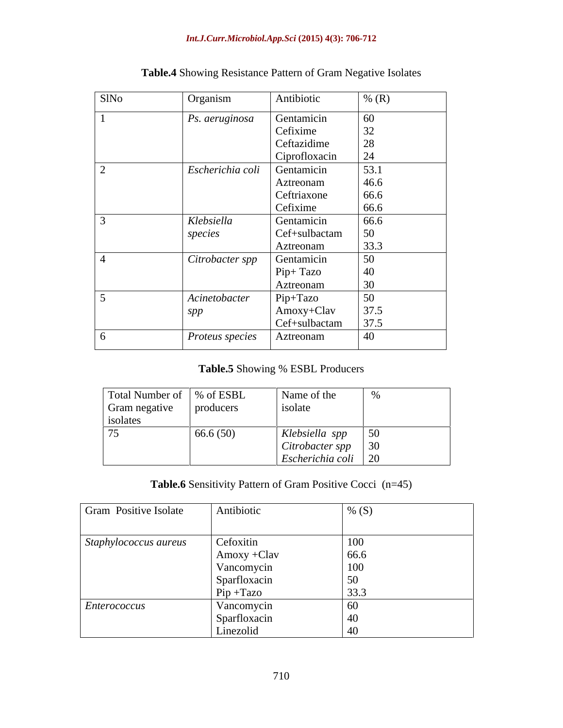#### *Int.J.Curr.Microbiol.App.Sci* **(2015) 4(3): 706-712**

| SlNo | Organism                             | Antibiotic         | $\frac{1}{2}$ (R) |
|------|--------------------------------------|--------------------|-------------------|
|      | <i>Ps. aeruginosa</i>                | Gentamicin         | 60                |
|      |                                      | Cefixime           | 32                |
|      |                                      | Ceftazidime        | $\Omega$<br>28    |
|      |                                      | Ciprofloxacin      | 24                |
|      | Escherichia coli                     | Gentamicin         | 53.1              |
|      |                                      | Aztreonam          | 46.6              |
|      |                                      | Ceftriaxone        | 66.6              |
|      |                                      | Cefixime           | 66.6              |
|      | Klebsiella                           | Gentamicin         | 66.6              |
|      | species                              | Cef+sulbactam      | 50                |
|      |                                      | Aztreonam          | 33.3              |
|      | $\sqrt{\phantom{a}}$ Citrobacter spp | Gentamicin         | 50                |
|      |                                      | Pip+ Tazo          | 40                |
|      |                                      | Aztreonam          |                   |
|      | Acinetobacter                        | Pip+Tazo           | 50                |
|      | spp                                  | $\Delta$ moxy+Clav | 37.5              |
|      |                                      | Cef+sulbactam      | 37.5              |
|      | Proteus species                      | Aztreonam          | 40                |

# **Table.4** Showing Resistance Pattern of Gram Negative Isolates

# **Table.5** Showing % ESBL Producers

| Total Number of   % of ESBL |           | Name of the                |                                        |
|-----------------------------|-----------|----------------------------|----------------------------------------|
| Gram negative               | producers | isolate                    |                                        |
| isolates                    |           |                            |                                        |
| 75                          | 66.6(50)  | Klebsiella spp             | -50<br>$\cup$ $\cup$                   |
|                             |           | Citrobacter spp $\vert$ 30 |                                        |
|                             |           | Escherichia coli           | $\sqrt{2}$<br>$\overline{\phantom{0}}$ |

## **Table.6** Sensitivity Pattern of Gram Positive Cocci (n=45)

| Gram Positive Isolate | Antibiotic                   | % $(S)$     |
|-----------------------|------------------------------|-------------|
| Staphylococcus aureus | Cefoxitin                    | 100         |
|                       | $Amoxy + Clav$<br>Vancomycin | 66.6<br>100 |
|                       | Sparfloxacin                 | 50          |
|                       | $Pip + Tax$                  | 33.3        |
| Enterococcus          | Vancomycin                   | 60          |
|                       | Sparfloxacin                 | 40          |
|                       | Linezolid                    | 40          |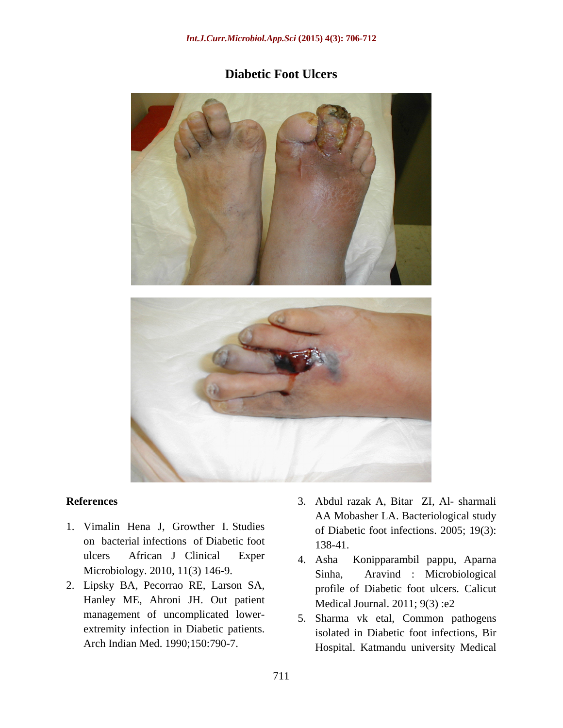# **Diabetic Foot Ulcers**



- 1. Vimalin Hena J, Growther I. Studies on bacterial infections of Diabetic foot 138-41. ulcers African J Clinical Exper 4. Asha Konipparambil pappu, Aparna Microbiology. 2010, 11(3) 146-9. Sinha.
- 2. Lipsky BA, Pecorrao RE, Larson SA, Hanley ME, Ahroni JH. Out patient management of uncomplicated lower extremity infection in Diabetic patients.
- **References** 3. Abdul razak A, Bitar ZI, Al- sharmali AA Mobasher LA. Bacteriological study of Diabetic foot infections. 2005; 19(3): 138-41.
	- Aravind : Microbiological profile of Diabetic foot ulcers. Calicut Medical Journal. 2011; 9(3) :e2
	- Arch Indian Med. 1990;150:790-7. Hospital. Katmandu university Medical5. Sharma vk etal, Common pathogens isolated in Diabetic foot infections, Bir